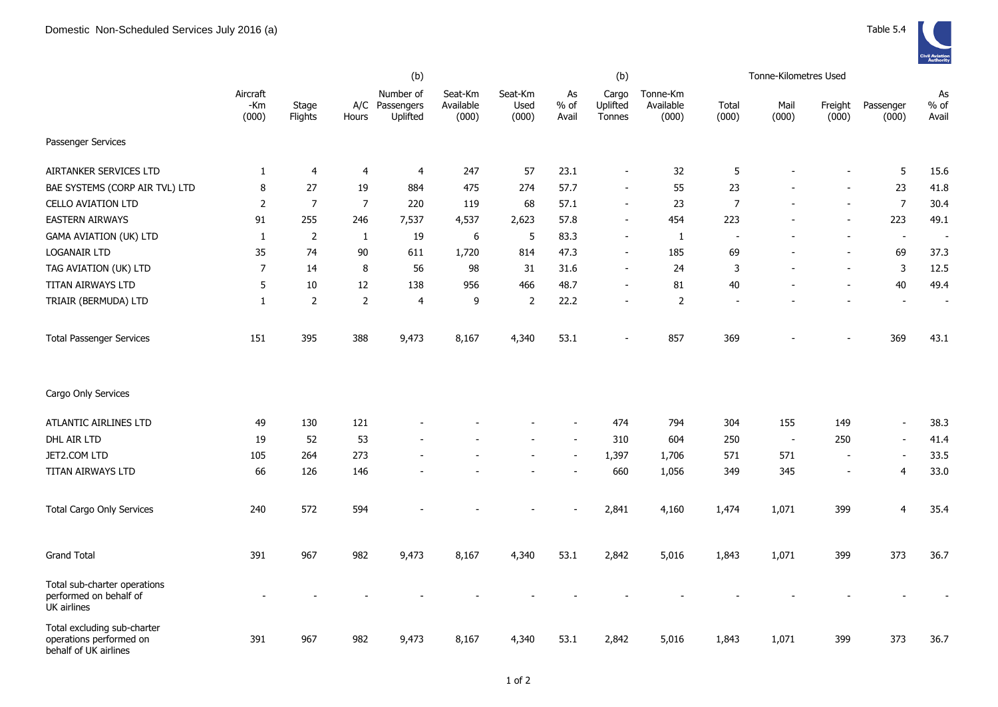|                                                                                 |                          |                  |                         | (b)                                     |                               |                          |                       | (b)                         |                                | Tonne-Kilometres Used |               |                          |                          |                          |
|---------------------------------------------------------------------------------|--------------------------|------------------|-------------------------|-----------------------------------------|-------------------------------|--------------------------|-----------------------|-----------------------------|--------------------------------|-----------------------|---------------|--------------------------|--------------------------|--------------------------|
|                                                                                 | Aircraft<br>-Km<br>(000) | Stage<br>Flights | Hours                   | Number of<br>A/C Passengers<br>Uplifted | Seat-Km<br>Available<br>(000) | Seat-Km<br>Used<br>(000) | As<br>$%$ of<br>Avail | Cargo<br>Uplifted<br>Tonnes | Tonne-Km<br>Available<br>(000) | Total<br>(000)        | Mail<br>(000) | Freight<br>(000)         | Passenger<br>(000)       | As<br>$%$ of<br>Avail    |
| Passenger Services                                                              |                          |                  |                         |                                         |                               |                          |                       |                             |                                |                       |               |                          |                          |                          |
| AIRTANKER SERVICES LTD                                                          | $\mathbf{1}$             | $\overline{4}$   | $\overline{\mathbf{r}}$ | $\overline{4}$                          | 247                           | 57                       | 23.1                  |                             | 32                             | 5                     |               |                          | $5\phantom{.0}$          | 15.6                     |
| BAE SYSTEMS (CORP AIR TVL) LTD                                                  | 8                        | 27               | 19                      | 884                                     | 475                           | 274                      | 57.7                  | $\overline{\phantom{a}}$    | 55                             | 23                    |               |                          | 23                       | 41.8                     |
| <b>CELLO AVIATION LTD</b>                                                       | $\overline{2}$           | $\overline{7}$   | $\overline{7}$          | 220                                     | 119                           | 68                       | 57.1                  | $\blacksquare$              | 23                             | 7                     | L,            | $\overline{a}$           | $\overline{7}$           | 30.4                     |
| <b>EASTERN AIRWAYS</b>                                                          | 91                       | 255              | 246                     | 7,537                                   | 4,537                         | 2,623                    | 57.8                  | $\overline{\phantom{a}}$    | 454                            | 223                   |               | $\blacksquare$           | 223                      | 49.1                     |
| <b>GAMA AVIATION (UK) LTD</b>                                                   | $\mathbf{1}$             | 2                | $\mathbf{1}$            | 19                                      | 6                             | 5                        | 83.3                  | $\blacksquare$              | $\mathbf{1}$                   | $\sim$                |               | $\overline{a}$           | $\blacksquare$           | $\overline{\phantom{a}}$ |
| <b>LOGANAIR LTD</b>                                                             | 35                       | 74               | 90                      | 611                                     | 1,720                         | 814                      | 47.3                  | $\overline{\phantom{a}}$    | 185                            | 69                    |               | $\blacksquare$           | 69                       | 37.3                     |
| TAG AVIATION (UK) LTD                                                           | $\overline{7}$           | 14               | 8                       | 56                                      | 98                            | 31                       | 31.6                  | $\blacksquare$              | 24                             | 3                     |               | $\blacksquare$           | $\mathsf{3}$             | 12.5                     |
| TITAN AIRWAYS LTD                                                               | 5                        | 10               | 12                      | 138                                     | 956                           | 466                      | 48.7                  | $\overline{\phantom{a}}$    | 81                             | 40                    |               | $\overline{\phantom{a}}$ | 40                       | 49.4                     |
| TRIAIR (BERMUDA) LTD                                                            | $\mathbf{1}$             | 2                | $\overline{2}$          | 4                                       | 9                             | $\overline{2}$           | 22.2                  | $\overline{\phantom{a}}$    | $\overline{2}$                 |                       |               |                          | $\blacksquare$           | $\overline{\phantom{a}}$ |
| <b>Total Passenger Services</b>                                                 | 151                      | 395              | 388                     | 9,473                                   | 8,167                         | 4,340                    | 53.1                  | $\overline{\phantom{a}}$    | 857                            | 369                   |               |                          | 369                      | 43.1                     |
| Cargo Only Services                                                             |                          |                  |                         |                                         |                               |                          |                       |                             |                                |                       |               |                          |                          |                          |
| ATLANTIC AIRLINES LTD                                                           | 49                       | 130              | 121                     |                                         |                               |                          |                       | 474                         | 794                            | 304                   | 155           | 149                      | $\blacksquare$           | 38.3                     |
| DHL AIR LTD                                                                     | 19                       | 52               | 53                      |                                         |                               |                          |                       | 310                         | 604                            | 250                   | $\sim$        | 250                      | $\overline{\phantom{a}}$ | 41.4                     |
| JET2.COM LTD                                                                    | 105                      | 264              | 273                     |                                         |                               |                          |                       | 1,397                       | 1,706                          | 571                   | 571           | $\overline{\phantom{a}}$ | $\blacksquare$           | 33.5                     |
| TITAN AIRWAYS LTD                                                               | 66                       | 126              | 146                     |                                         |                               |                          |                       | 660                         | 1,056                          | 349                   | 345           | $\overline{\phantom{a}}$ | $\overline{4}$           | 33.0                     |
| <b>Total Cargo Only Services</b>                                                | 240                      | 572              | 594                     |                                         |                               |                          |                       | 2,841                       | 4,160                          | 1,474                 | 1,071         | 399                      | $\overline{4}$           | 35.4                     |
| <b>Grand Total</b>                                                              | 391                      | 967              | 982                     | 9,473                                   | 8,167                         | 4,340                    | 53.1                  | 2,842                       | 5,016                          | 1,843                 | 1,071         | 399                      | 373                      | 36.7                     |
| Total sub-charter operations<br>performed on behalf of<br>UK airlines           |                          |                  |                         |                                         |                               |                          |                       |                             |                                |                       |               |                          |                          |                          |
| Total excluding sub-charter<br>operations performed on<br>behalf of UK airlines | 391                      | 967              | 982                     | 9,473                                   | 8,167                         | 4,340                    | 53.1                  | 2,842                       | 5,016                          | 1,843                 | 1,071         | 399                      | 373                      | 36.7                     |